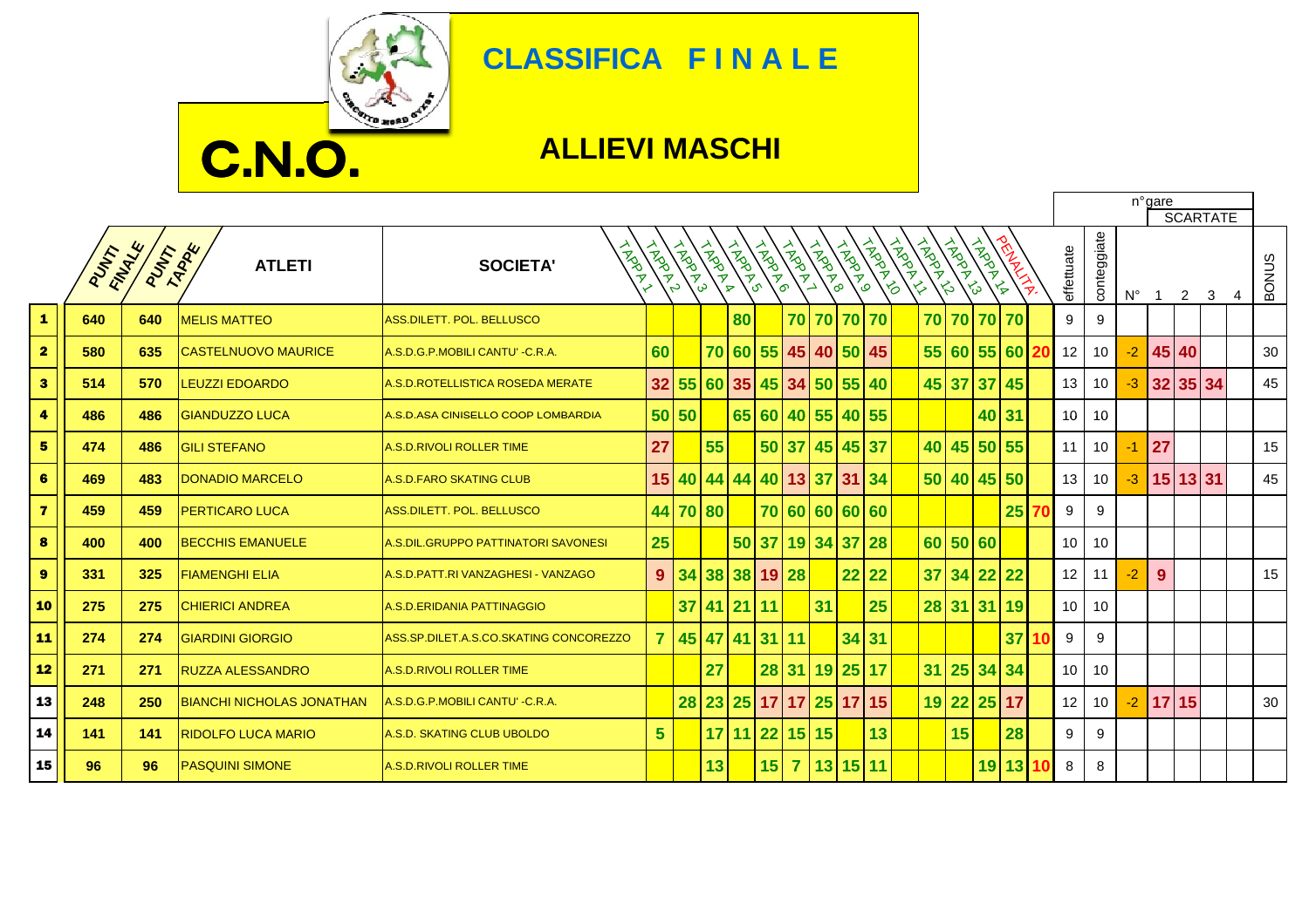

## **CLASSIFICA F I N A L E**

## **ALLIEVI MASCHI**

г

|                         |         |         |                                  |                                        |                |        |                 |                |              |                |             |                            |                         |             |                |          |                         | n°gare<br><b>SCARTATE</b> |                 |                 |             |                |             |  |   |       |
|-------------------------|---------|---------|----------------------------------|----------------------------------------|----------------|--------|-----------------|----------------|--------------|----------------|-------------|----------------------------|-------------------------|-------------|----------------|----------|-------------------------|---------------------------|-----------------|-----------------|-------------|----------------|-------------|--|---|-------|
|                         | PUTTY W | PUTT RA | <b>ATLETI</b>                    | ipaph<br><b>SOCIETA'</b>               | LAPPLAN        | CAPAN. | <b>HADRA</b>    | <b>ANDROIL</b> | <b>HAPPE</b> | INDOX1         |             | <b>12912910</b>            | TRADER                  | <b>TAND</b> | <b>HARDWAY</b> | THORN ST | <b>TRADE</b><br>$\zeta$ |                           | effettuate      | conteggiate     | $N^{\circ}$ | $\overline{1}$ | $2 \quad 3$ |  | 4 | BONUS |
| $\mathbf{1}$            | 640     | 640     | <b>MELIS MATTEO</b>              | <b>ASS.DILETT. POL. BELLUSCO</b>       |                |        |                 | 80             |              |                |             | 70 70 70 70                |                         |             |                |          | 70 70 70 70             |                           | 9               | 9               |             |                |             |  |   |       |
| $\overline{\mathbf{2}}$ | 580     | 635     | <b>CASTELNUOVO MAURICE</b>       | A.S.D.G.P.MOBILI CANTU' - C.R.A.       | 60             |        |                 |                |              |                |             | 70 60 55 45 40 50 45       |                         |             |                |          | 55 60 55 60 20          |                           | 12              | 10              | $-2$        |                | 45 40       |  |   | 30    |
| $\overline{\mathbf{3}}$ | 514     | 570     | <b>LEUZZI EDOARDO</b>            | A.S.D.ROTELLISTICA ROSEDA MERATE       |                |        |                 |                |              |                |             | 32 55 60 35 45 34 50 55 40 |                         |             |                |          | 45 37 37 45             |                           | 13              | 10              | $-3$        |                | 32 35 34    |  |   | 45    |
| $\blacktriangleleft$    | 486     | 486     | <b>GIANDUZZO LUCA</b>            | A.S.D.ASA CINISELLO COOP LOMBARDIA     |                | 50 50  |                 |                |              |                |             | 65 60 40 55 40 55          |                         |             |                |          | 40 31                   |                           | 10 <sup>°</sup> | 10              |             |                |             |  |   |       |
| 5                       | 474     | 486     | <b>GILI STEFANO</b>              | <b>A.S.D.RIVOLI ROLLER TIME</b>        | 27             |        | 55              |                |              |                |             | 50 37 45 45 37             |                         |             |                |          | 40 45 50 55             |                           | 11              | 10 <sup>1</sup> | $-1$        | 27             |             |  |   | 15    |
| 6                       | 469     | 483     | <b>DONADIO MARCELO</b>           | <b>A.S.D.FARO SKATING CLUB</b>         |                |        |                 |                |              |                |             | 15 40 44 44 40 13 37 31 34 |                         |             |                |          | 50 40 45 50             |                           | 13              | 10 <sup>1</sup> | $-3$        |                | 15 13 31    |  |   | 45    |
| $\overline{7}$          | 459     | 459     | <b>PERTICARO LUCA</b>            | <b>ASS.DILETT. POL. BELLUSCO</b>       |                |        | 44 70 80        |                |              |                |             | 70 60 60 60 60             |                         |             |                |          |                         | 25                        | 9               | 9               |             |                |             |  |   |       |
| 8                       | 400     | 400     | <b>BECCHIS EMANUELE</b>          | A.S.DIL.GRUPPO PATTINATORI SAVONESI    | 25             |        |                 |                |              |                |             | 50 37 19 34 37 28          |                         |             |                | 60 50 60 |                         |                           | 10              | 10              |             |                |             |  |   |       |
| $\boldsymbol{9}$        | 331     | 325     | <b>FIAMENGHI ELIA</b>            | A.S.D. PATT.RI VANZAGHESI - VANZAGO    | 9 <sup>°</sup> |        |                 |                |              | 34 38 38 19 28 |             |                            | $22$ 22                 |             |                |          | 37 34 22 22             |                           | 12              | 11              | $-2$        | $9^{\circ}$    |             |  |   | 15    |
| 10                      | 275     | 275     | <b>CHIERICI ANDREA</b>           | A.S.D.ERIDANIA PATTINAGGIO             |                |        | $37$ 41 21 11   |                |              |                | 31          |                            | 25                      |             |                |          | 28 31 31 19             |                           | 10 <sup>°</sup> | 10              |             |                |             |  |   |       |
| 11                      | 274     | 274     | <b>GIARDINI GIORGIO</b>          | ASS.SP.DILET.A.S.CO.SKATING CONCOREZZO | $\mathbf{7}$   |        | 45 47 41 31 11  |                |              |                |             | 34 31                      |                         |             |                |          |                         | 37                        | 9               | 9               |             |                |             |  |   |       |
| 12                      | 271     | 271     | <b>RUZZA ALESSANDRO</b>          | <b>A.S.D.RIVOLI ROLLER TIME</b>        |                |        | 27              |                |              |                |             | 28 31 19 25 17             |                         |             |                |          | 31 25 34 34             |                           | 10 <sup>1</sup> | 10              |             |                |             |  |   |       |
| 13                      | 248     | 250     | <b>BIANCHI NICHOLAS JONATHAN</b> | A.S.D.G.P.MOBILI CANTU' - C.R.A.       |                |        |                 |                |              |                |             |                            | 28 23 25 17 17 25 17 15 |             |                |          | 19 22 25 17             |                           | 12              | 10              | $-2$        |                | 17 15       |  |   | 30    |
| 14                      | 141     | 141     | <b>RIDOLFO LUCA MARIO</b>        | A.S.D. SKATING CLUB UBOLDO             | 5 <sup>5</sup> |        | 17 <sup>1</sup> |                |              |                | 11 22 15 15 |                            | 13                      |             |                | 15       |                         | 28                        | 9               | 9               |             |                |             |  |   |       |
| 15                      | 96      | 96      | <b>PASQUINI SIMONE</b>           | <b>A.S.D.RIVOLI ROLLER TIME</b>        |                |        | 13              |                | $15$ 7       |                |             | $13$ 15 11                 |                         |             |                |          | 19 13                   |                           | 8               | 8               |             |                |             |  |   |       |